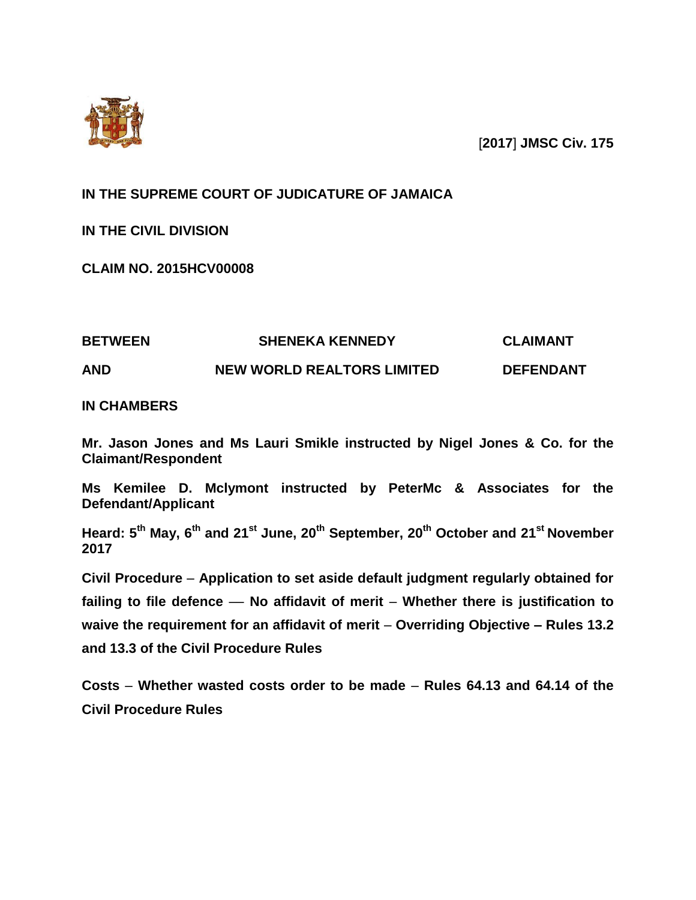

[**2017**] **JMSC Civ. 175**

## **IN THE SUPREME COURT OF JUDICATURE OF JAMAICA**

**IN THE CIVIL DIVISION** 

**CLAIM NO. 2015HCV00008**

| <b>BETWEEN</b> | <b>SHENEKA KENNEDY</b>            | <b>CLAIMANT</b>  |
|----------------|-----------------------------------|------------------|
| <b>AND</b>     | <b>NEW WORLD REALTORS LIMITED</b> | <b>DEFENDANT</b> |

**IN CHAMBERS**

**Mr. Jason Jones and Ms Lauri Smikle instructed by Nigel Jones & Co. for the Claimant/Respondent** 

**Ms Kemilee D. Mclymont instructed by PeterMc & Associates for the Defendant/Applicant**

**Heard: 5 th May, 6 th and 21st June, 20th September, 20th October and 21st November 2017** 

**Civil Procedure** – **Application to set aside default judgment regularly obtained for failing to file defence** –– **No affidavit of merit** – **Whether there is justification to waive the requirement for an affidavit of merit** – **Overriding Objective – Rules 13.2 and 13.3 of the Civil Procedure Rules**

**Costs** – **Whether wasted costs order to be made** – **Rules 64.13 and 64.14 of the Civil Procedure Rules**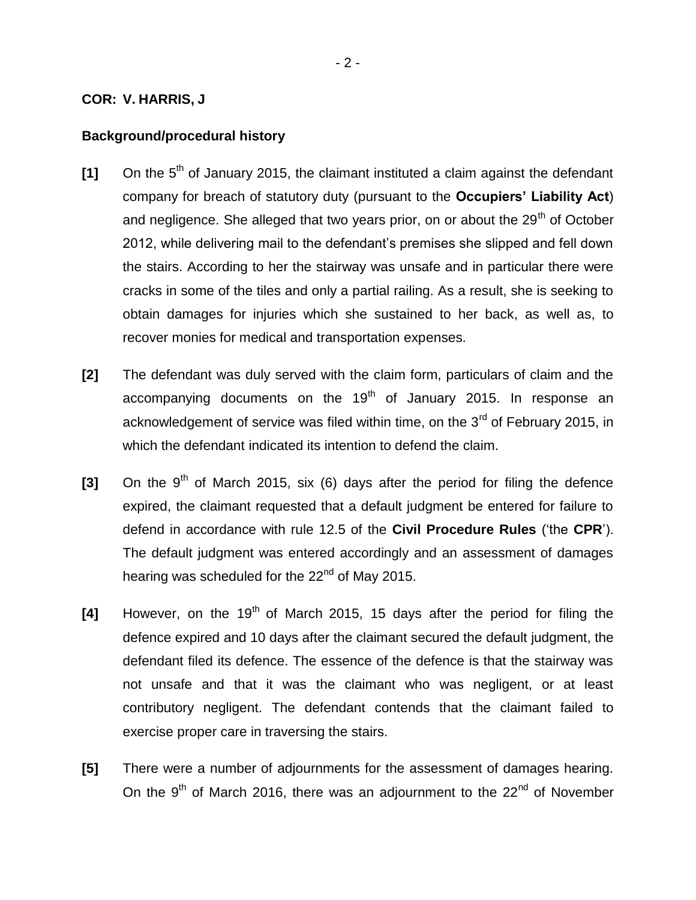#### **COR: V. HARRIS, J**

#### **Background/procedural history**

- [1] On the 5<sup>th</sup> of January 2015, the claimant instituted a claim against the defendant company for breach of statutory duty (pursuant to the **Occupiers' Liability Act**) and negligence. She alleged that two years prior, on or about the  $29<sup>th</sup>$  of October 2012, while delivering mail to the defendant's premises she slipped and fell down the stairs. According to her the stairway was unsafe and in particular there were cracks in some of the tiles and only a partial railing. As a result, she is seeking to obtain damages for injuries which she sustained to her back, as well as, to recover monies for medical and transportation expenses.
- **[2]** The defendant was duly served with the claim form, particulars of claim and the accompanying documents on the  $19<sup>th</sup>$  of January 2015. In response an acknowledgement of service was filed within time, on the  $3<sup>rd</sup>$  of February 2015, in which the defendant indicated its intention to defend the claim.
- [3] On the 9<sup>th</sup> of March 2015, six (6) days after the period for filing the defence expired, the claimant requested that a default judgment be entered for failure to defend in accordance with rule 12.5 of the **Civil Procedure Rules** ('the **CPR**'). The default judgment was entered accordingly and an assessment of damages hearing was scheduled for the 22<sup>nd</sup> of May 2015.
- [4] However, on the 19<sup>th</sup> of March 2015, 15 days after the period for filing the defence expired and 10 days after the claimant secured the default judgment, the defendant filed its defence. The essence of the defence is that the stairway was not unsafe and that it was the claimant who was negligent, or at least contributory negligent. The defendant contends that the claimant failed to exercise proper care in traversing the stairs.
- **[5]** There were a number of adjournments for the assessment of damages hearing. On the  $9<sup>th</sup>$  of March 2016, there was an adjournment to the 22<sup>nd</sup> of November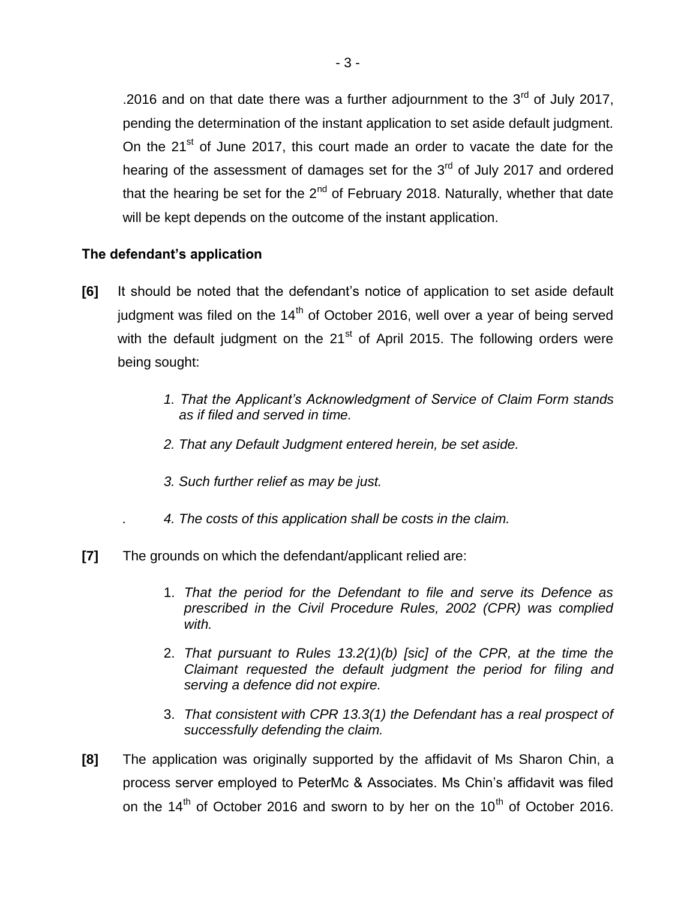.2016 and on that date there was a further adjournment to the  $3<sup>rd</sup>$  of July 2017, pending the determination of the instant application to set aside default judgment. On the 21<sup>st</sup> of June 2017, this court made an order to vacate the date for the hearing of the assessment of damages set for the  $3<sup>rd</sup>$  of July 2017 and ordered that the hearing be set for the  $2^{nd}$  of February 2018. Naturally, whether that date will be kept depends on the outcome of the instant application.

## **The defendant's application**

- **[6]** It should be noted that the defendant's notice of application to set aside default judgment was filed on the  $14<sup>th</sup>$  of October 2016, well over a year of being served with the default judgment on the 21<sup>st</sup> of April 2015. The following orders were being sought:
	- *1. That the Applicant's Acknowledgment of Service of Claim Form stands as if filed and served in time.*
	- *2. That any Default Judgment entered herein, be set aside.*
	- *3. Such further relief as may be just.*
	- *. 4. The costs of this application shall be costs in the claim.*
- **[7]** The grounds on which the defendant/applicant relied are:
	- 1. *That the period for the Defendant to file and serve its Defence as prescribed in the Civil Procedure Rules, 2002 (CPR) was complied with.*
	- 2. *That pursuant to Rules 13.2(1)(b) [sic] of the CPR, at the time the Claimant requested the default judgment the period for filing and serving a defence did not expire.*
	- 3. *That consistent with CPR 13.3(1) the Defendant has a real prospect of successfully defending the claim.*
- **[8]** The application was originally supported by the affidavit of Ms Sharon Chin, a process server employed to PeterMc & Associates. Ms Chin's affidavit was filed on the  $14<sup>th</sup>$  of October 2016 and sworn to by her on the  $10<sup>th</sup>$  of October 2016.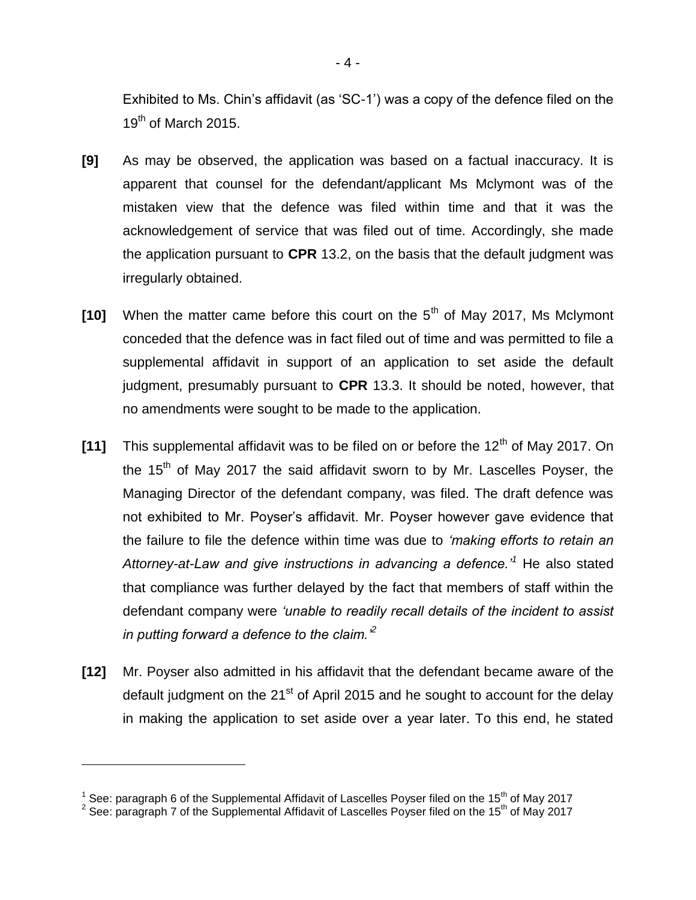Exhibited to Ms. Chin's affidavit (as 'SC-1') was a copy of the defence filed on the  $19^{th}$  of March 2015.

- **[9]** As may be observed, the application was based on a factual inaccuracy. It is apparent that counsel for the defendant/applicant Ms Mclymont was of the mistaken view that the defence was filed within time and that it was the acknowledgement of service that was filed out of time. Accordingly, she made the application pursuant to **CPR** 13.2, on the basis that the default judgment was irregularly obtained.
- **[10]** When the matter came before this court on the 5<sup>th</sup> of May 2017, Ms Mclymont conceded that the defence was in fact filed out of time and was permitted to file a supplemental affidavit in support of an application to set aside the default judgment, presumably pursuant to **CPR** 13.3. It should be noted, however, that no amendments were sought to be made to the application.
- [11] This supplemental affidavit was to be filed on or before the 12<sup>th</sup> of May 2017. On the  $15<sup>th</sup>$  of May 2017 the said affidavit sworn to by Mr. Lascelles Poyser, the Managing Director of the defendant company, was filed. The draft defence was not exhibited to Mr. Poyser's affidavit. Mr. Poyser however gave evidence that the failure to file the defence within time was due to *'making efforts to retain an Attorney-at-Law and give instructions in advancing a defence.'<sup>1</sup>* He also stated that compliance was further delayed by the fact that members of staff within the defendant company were *'unable to readily recall details of the incident to assist in putting forward a defence to the claim.'<sup>2</sup>*
- **[12]** Mr. Poyser also admitted in his affidavit that the defendant became aware of the default judgment on the  $21<sup>st</sup>$  of April 2015 and he sought to account for the delay in making the application to set aside over a year later. To this end, he stated

 $^{\rm 1}$  See: paragraph 6 of the Supplemental Affidavit of Lascelles Poyser filed on the 15<sup>th</sup> of May 2017<br><sup>2</sup> See: paragraph 7 of the Supplemental Affidavit of Lascelles Poyser filed on the 15<sup>th</sup> of May 2017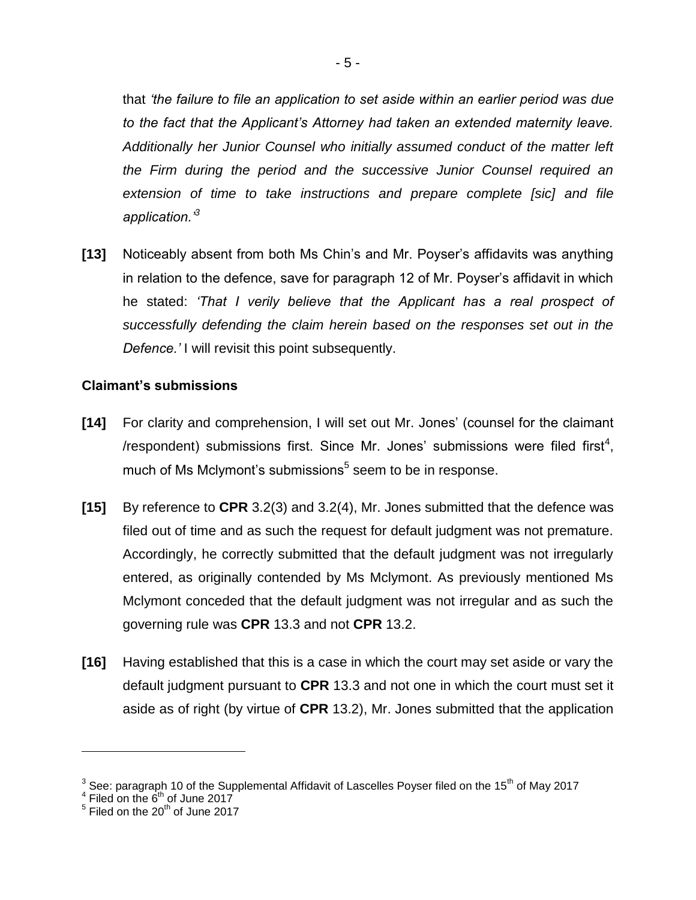that *'the failure to file an application to set aside within an earlier period was due to the fact that the Applicant's Attorney had taken an extended maternity leave. Additionally her Junior Counsel who initially assumed conduct of the matter left the Firm during the period and the successive Junior Counsel required an extension of time to take instructions and prepare complete [sic] and file application.'<sup>3</sup>*

**[13]** Noticeably absent from both Ms Chin's and Mr. Poyser's affidavits was anything in relation to the defence, save for paragraph 12 of Mr. Poyser's affidavit in which he stated: *'That I verily believe that the Applicant has a real prospect of successfully defending the claim herein based on the responses set out in the Defence.'* I will revisit this point subsequently.

#### **Claimant's submissions**

- **[14]** For clarity and comprehension, I will set out Mr. Jones' (counsel for the claimant /respondent) submissions first. Since Mr. Jones' submissions were filed first<sup>4</sup>, much of Ms Mclymont's submissions<sup>5</sup> seem to be in response.
- **[15]** By reference to **CPR** 3.2(3) and 3.2(4), Mr. Jones submitted that the defence was filed out of time and as such the request for default judgment was not premature. Accordingly, he correctly submitted that the default judgment was not irregularly entered, as originally contended by Ms Mclymont. As previously mentioned Ms Mclymont conceded that the default judgment was not irregular and as such the governing rule was **CPR** 13.3 and not **CPR** 13.2.
- **[16]** Having established that this is a case in which the court may set aside or vary the default judgment pursuant to **CPR** 13.3 and not one in which the court must set it aside as of right (by virtue of **CPR** 13.2), Mr. Jones submitted that the application

 $^3$  See: paragraph 10 of the Supplemental Affidavit of Lascelles Poyser filed on the 15<sup>th</sup> of May 2017<br><sup>4</sup> Filed on the 6<sup>th</sup> of June 2017<br><sup>5</sup> Filed on the 20<sup>th</sup> of June 2017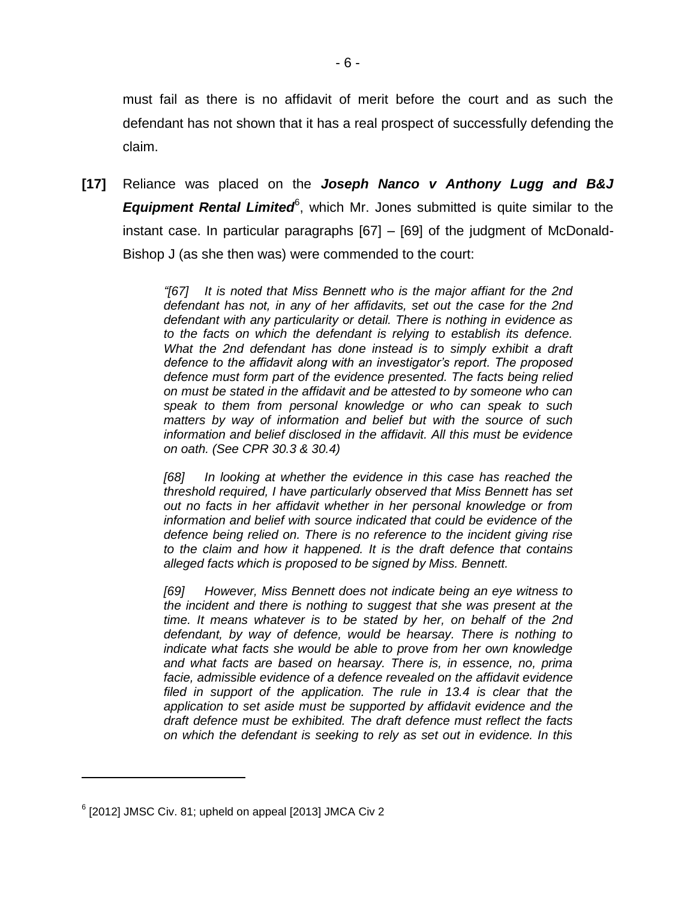must fail as there is no affidavit of merit before the court and as such the defendant has not shown that it has a real prospect of successfully defending the claim.

**[17]** Reliance was placed on the *Joseph Nanco v Anthony Lugg and B&J* **Equipment Rental Limited**<sup>6</sup>, which Mr. Jones submitted is quite similar to the instant case. In particular paragraphs [67] – [69] of the judgment of McDonald-Bishop J (as she then was) were commended to the court:

> *"[67] It is noted that Miss Bennett who is the major affiant for the 2nd defendant has not, in any of her affidavits, set out the case for the 2nd defendant with any particularity or detail. There is nothing in evidence as to the facts on which the defendant is relying to establish its defence. What the 2nd defendant has done instead is to simply exhibit a draft defence to the affidavit along with an investigator's report. The proposed defence must form part of the evidence presented. The facts being relied on must be stated in the affidavit and be attested to by someone who can speak to them from personal knowledge or who can speak to such matters by way of information and belief but with the source of such information and belief disclosed in the affidavit. All this must be evidence on oath. (See CPR 30.3 & 30.4)*

> *[68] In looking at whether the evidence in this case has reached the threshold required, I have particularly observed that Miss Bennett has set out no facts in her affidavit whether in her personal knowledge or from information and belief with source indicated that could be evidence of the defence being relied on. There is no reference to the incident giving rise to the claim and how it happened. It is the draft defence that contains alleged facts which is proposed to be signed by Miss. Bennett.*

> *[69] However, Miss Bennett does not indicate being an eye witness to the incident and there is nothing to suggest that she was present at the time. It means whatever is to be stated by her, on behalf of the 2nd defendant, by way of defence, would be hearsay. There is nothing to indicate what facts she would be able to prove from her own knowledge and what facts are based on hearsay. There is, in essence, no, prima facie, admissible evidence of a defence revealed on the affidavit evidence*  filed in support of the application. The rule in 13.4 is clear that the *application to set aside must be supported by affidavit evidence and the draft defence must be exhibited. The draft defence must reflect the facts on which the defendant is seeking to rely as set out in evidence. In this*

 $6$  [2012] JMSC Civ. 81; upheld on appeal [2013] JMCA Civ 2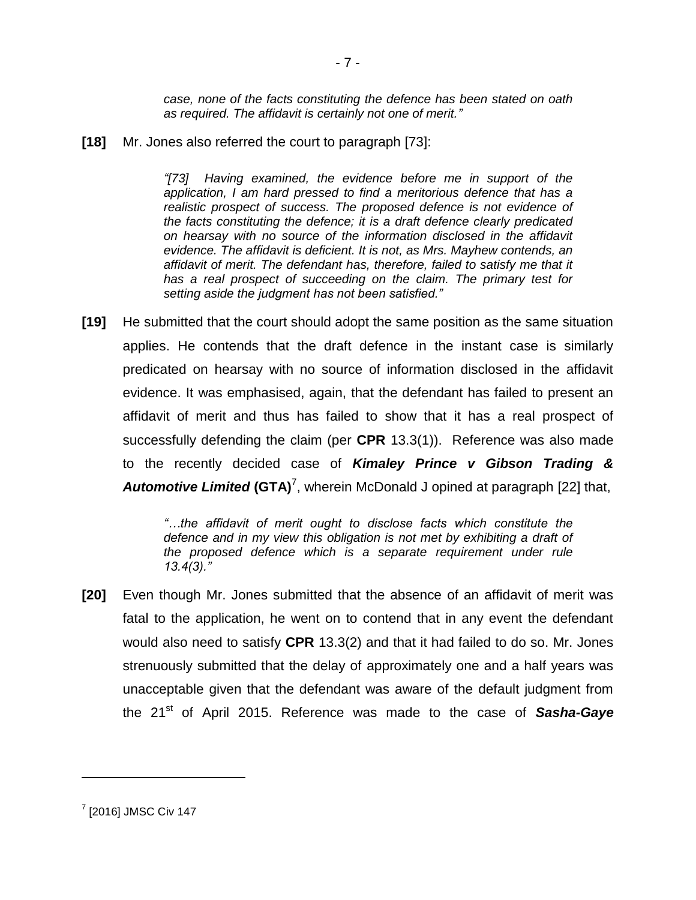*case, none of the facts constituting the defence has been stated on oath as required. The affidavit is certainly not one of merit."*

**[18]** Mr. Jones also referred the court to paragraph [73]:

*"[73] Having examined, the evidence before me in support of the application, I am hard pressed to find a meritorious defence that has a realistic prospect of success. The proposed defence is not evidence of the facts constituting the defence; it is a draft defence clearly predicated on hearsay with no source of the information disclosed in the affidavit evidence. The affidavit is deficient. It is not, as Mrs. Mayhew contends, an affidavit of merit. The defendant has, therefore, failed to satisfy me that it has a real prospect of succeeding on the claim. The primary test for setting aside the judgment has not been satisfied."*

**[19]** He submitted that the court should adopt the same position as the same situation applies. He contends that the draft defence in the instant case is similarly predicated on hearsay with no source of information disclosed in the affidavit evidence. It was emphasised, again, that the defendant has failed to present an affidavit of merit and thus has failed to show that it has a real prospect of successfully defending the claim (per **CPR** 13.3(1)). Reference was also made to the recently decided case of *Kimaley Prince v Gibson Trading &* Automotive Limited (GTA)<sup>7</sup>, wherein McDonald J opined at paragraph [22] that,

> *"…the affidavit of merit ought to disclose facts which constitute the defence and in my view this obligation is not met by exhibiting a draft of the proposed defence which is a separate requirement under rule 13.4(3)."*

**[20]** Even though Mr. Jones submitted that the absence of an affidavit of merit was fatal to the application, he went on to contend that in any event the defendant would also need to satisfy **CPR** 13.3(2) and that it had failed to do so. Mr. Jones strenuously submitted that the delay of approximately one and a half years was unacceptable given that the defendant was aware of the default judgment from the 21st of April 2015. Reference was made to the case of *Sasha-Gaye*

<sup>7</sup> [2016] JMSC Civ 147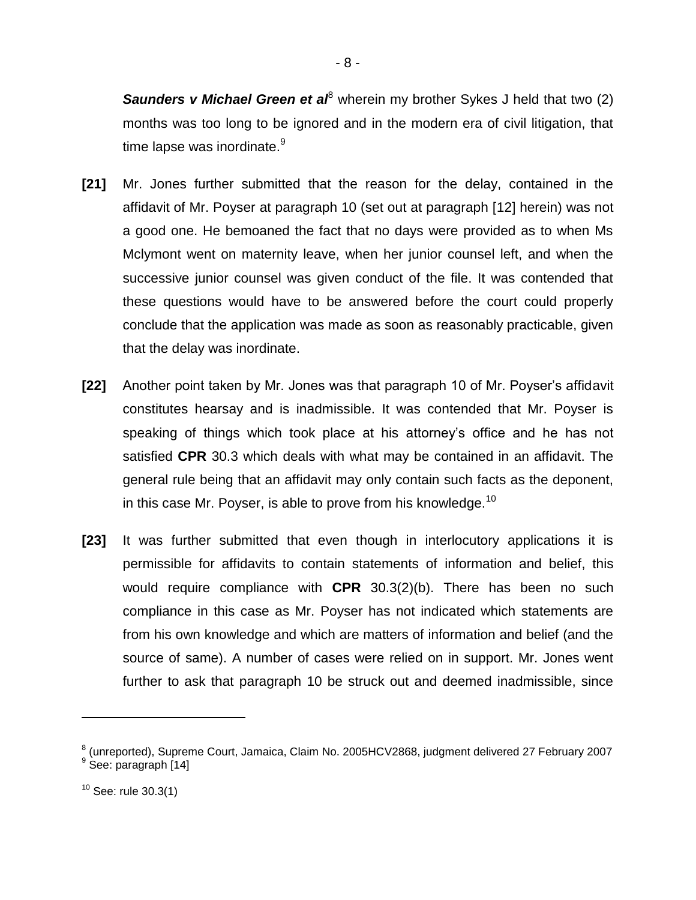**Saunders v Michael Green et al<sup>8</sup>** wherein my brother Sykes J held that two (2) months was too long to be ignored and in the modern era of civil litigation, that time lapse was inordinate. $9$ 

- **[21]** Mr. Jones further submitted that the reason for the delay, contained in the affidavit of Mr. Poyser at paragraph 10 (set out at paragraph [12] herein) was not a good one. He bemoaned the fact that no days were provided as to when Ms Mclymont went on maternity leave, when her junior counsel left, and when the successive junior counsel was given conduct of the file. It was contended that these questions would have to be answered before the court could properly conclude that the application was made as soon as reasonably practicable, given that the delay was inordinate.
- **[22]** Another point taken by Mr. Jones was that paragraph 10 of Mr. Poyser's affidavit constitutes hearsay and is inadmissible. It was contended that Mr. Poyser is speaking of things which took place at his attorney's office and he has not satisfied **CPR** 30.3 which deals with what may be contained in an affidavit. The general rule being that an affidavit may only contain such facts as the deponent, in this case Mr. Poyser, is able to prove from his knowledge.<sup>10</sup>
- **[23]** It was further submitted that even though in interlocutory applications it is permissible for affidavits to contain statements of information and belief, this would require compliance with **CPR** 30.3(2)(b). There has been no such compliance in this case as Mr. Poyser has not indicated which statements are from his own knowledge and which are matters of information and belief (and the source of same). A number of cases were relied on in support. Mr. Jones went further to ask that paragraph 10 be struck out and deemed inadmissible, since

<sup>&</sup>lt;sup>8</sup> (unreported), Supreme Court, Jamaica, Claim No. 2005HCV2868, judgment delivered 27 February 2007<br><sup>9</sup> See: paragraph [14]

 $10$  See: rule 30.3(1)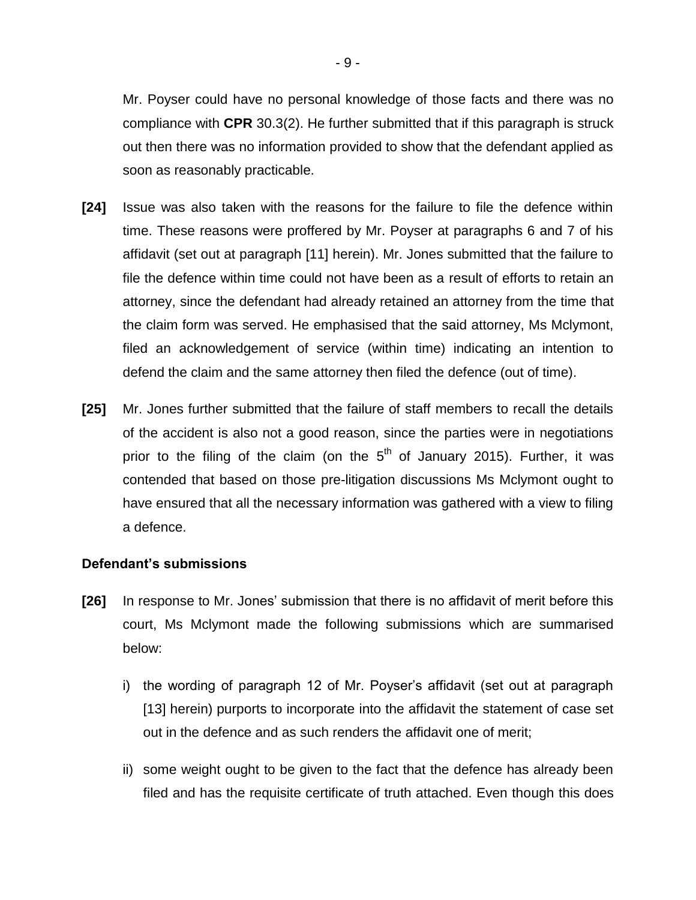Mr. Poyser could have no personal knowledge of those facts and there was no compliance with **CPR** 30.3(2). He further submitted that if this paragraph is struck out then there was no information provided to show that the defendant applied as soon as reasonably practicable.

- **[24]** Issue was also taken with the reasons for the failure to file the defence within time. These reasons were proffered by Mr. Poyser at paragraphs 6 and 7 of his affidavit (set out at paragraph [11] herein). Mr. Jones submitted that the failure to file the defence within time could not have been as a result of efforts to retain an attorney, since the defendant had already retained an attorney from the time that the claim form was served. He emphasised that the said attorney, Ms Mclymont, filed an acknowledgement of service (within time) indicating an intention to defend the claim and the same attorney then filed the defence (out of time).
- **[25]** Mr. Jones further submitted that the failure of staff members to recall the details of the accident is also not a good reason, since the parties were in negotiations prior to the filing of the claim (on the  $5<sup>th</sup>$  of January 2015). Further, it was contended that based on those pre-litigation discussions Ms Mclymont ought to have ensured that all the necessary information was gathered with a view to filing a defence.

## **Defendant's submissions**

- **[26]** In response to Mr. Jones' submission that there is no affidavit of merit before this court, Ms Mclymont made the following submissions which are summarised below:
	- i) the wording of paragraph 12 of Mr. Poyser's affidavit (set out at paragraph [13] herein) purports to incorporate into the affidavit the statement of case set out in the defence and as such renders the affidavit one of merit;
	- ii) some weight ought to be given to the fact that the defence has already been filed and has the requisite certificate of truth attached. Even though this does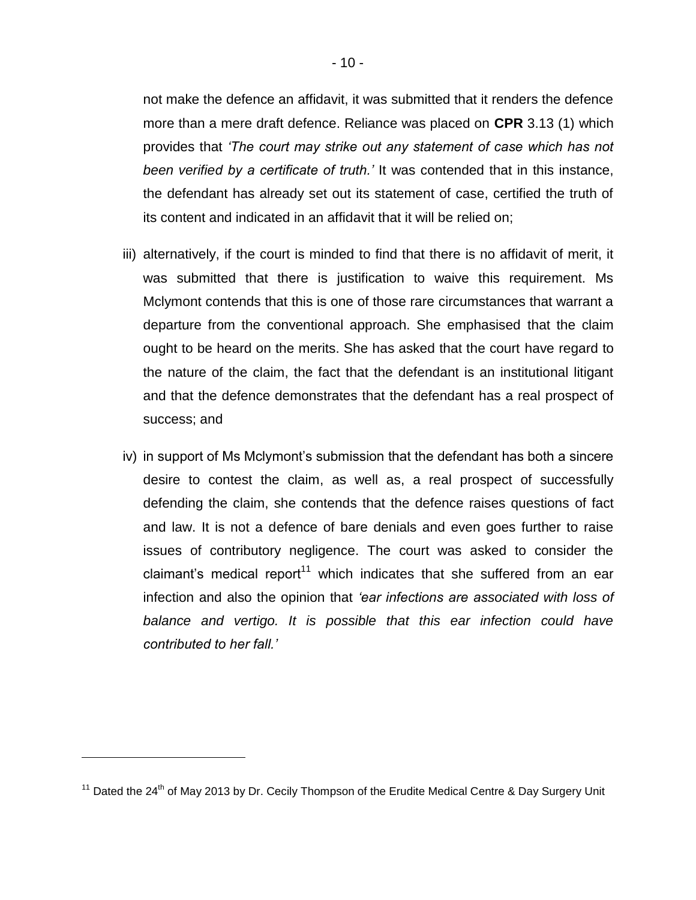not make the defence an affidavit, it was submitted that it renders the defence more than a mere draft defence. Reliance was placed on **CPR** 3.13 (1) which provides that *'The court may strike out any statement of case which has not been verified by a certificate of truth.'* It was contended that in this instance, the defendant has already set out its statement of case, certified the truth of its content and indicated in an affidavit that it will be relied on;

- iii) alternatively, if the court is minded to find that there is no affidavit of merit, it was submitted that there is justification to waive this requirement. Ms Mclymont contends that this is one of those rare circumstances that warrant a departure from the conventional approach. She emphasised that the claim ought to be heard on the merits. She has asked that the court have regard to the nature of the claim, the fact that the defendant is an institutional litigant and that the defence demonstrates that the defendant has a real prospect of success; and
- iv) in support of Ms Mclymont's submission that the defendant has both a sincere desire to contest the claim, as well as, a real prospect of successfully defending the claim, she contends that the defence raises questions of fact and law. It is not a defence of bare denials and even goes further to raise issues of contributory negligence. The court was asked to consider the claimant's medical report<sup>11</sup> which indicates that she suffered from an ear infection and also the opinion that *'ear infections are associated with loss of balance and vertigo. It is possible that this ear infection could have contributed to her fall.'*

 $11$  Dated the 24<sup>th</sup> of May 2013 by Dr. Cecily Thompson of the Erudite Medical Centre & Day Surgery Unit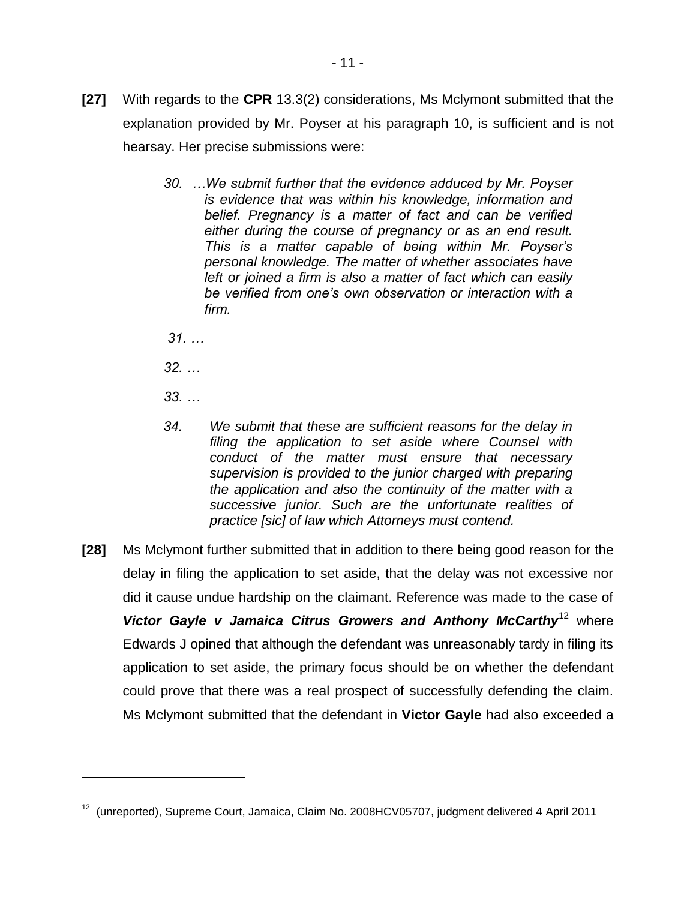- **[27]** With regards to the **CPR** 13.3(2) considerations, Ms Mclymont submitted that the explanation provided by Mr. Poyser at his paragraph 10, is sufficient and is not hearsay. Her precise submissions were:
	- *30. …We submit further that the evidence adduced by Mr. Poyser is evidence that was within his knowledge, information and belief. Pregnancy is a matter of fact and can be verified either during the course of pregnancy or as an end result. This is a matter capable of being within Mr. Poyser's personal knowledge. The matter of whether associates have left or joined a firm is also a matter of fact which can easily be verified from one's own observation or interaction with a firm.*
	- *31. …*
	- *32. …*
	- *33. …*

- *34. We submit that these are sufficient reasons for the delay in filing the application to set aside where Counsel with conduct of the matter must ensure that necessary supervision is provided to the junior charged with preparing the application and also the continuity of the matter with a successive junior. Such are the unfortunate realities of practice [sic] of law which Attorneys must contend.*
- **[28]** Ms Mclymont further submitted that in addition to there being good reason for the delay in filing the application to set aside, that the delay was not excessive nor did it cause undue hardship on the claimant. Reference was made to the case of Victor Gayle v Jamaica Citrus Growers and Anthony McCarthy<sup>12</sup> where Edwards J opined that although the defendant was unreasonably tardy in filing its application to set aside, the primary focus should be on whether the defendant could prove that there was a real prospect of successfully defending the claim. Ms Mclymont submitted that the defendant in **Victor Gayle** had also exceeded a

<sup>&</sup>lt;sup>12</sup> (unreported), Supreme Court, Jamaica, Claim No. 2008HCV05707, judgment delivered 4 April 2011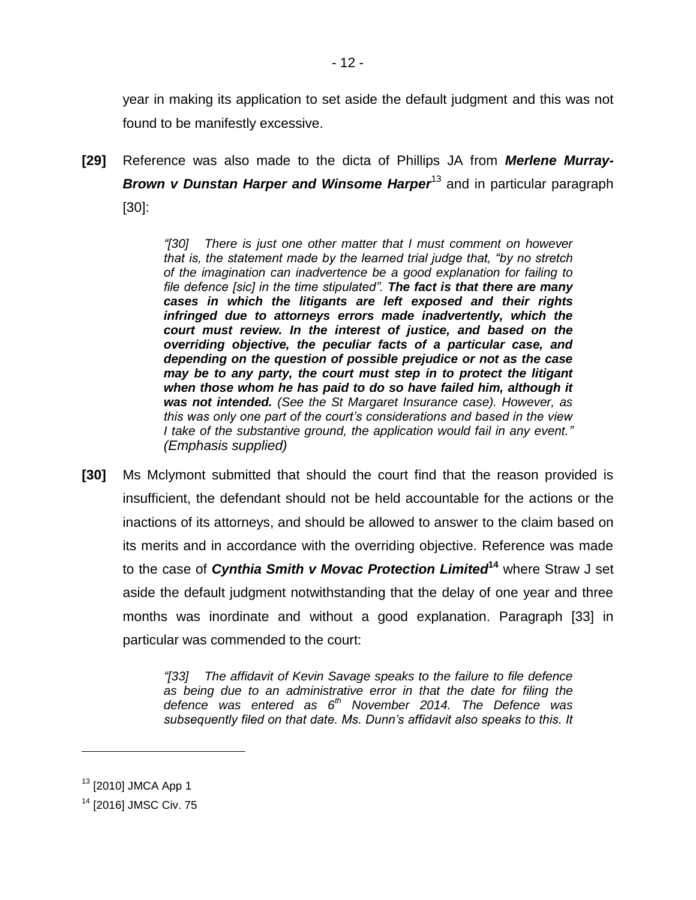year in making its application to set aside the default judgment and this was not found to be manifestly excessive.

**[29]** Reference was also made to the dicta of Phillips JA from *Merlene Murray-Brown v Dunstan Harper and Winsome Harper*<sup>13</sup> and in particular paragraph [30]:

> *"[30] There is just one other matter that I must comment on however that is, the statement made by the learned trial judge that, "by no stretch of the imagination can inadvertence be a good explanation for failing to file defence [sic] in the time stipulated". The fact is that there are many cases in which the litigants are left exposed and their rights infringed due to attorneys errors made inadvertently, which the court must review. In the interest of justice, and based on the overriding objective, the peculiar facts of a particular case, and depending on the question of possible prejudice or not as the case may be to any party, the court must step in to protect the litigant when those whom he has paid to do so have failed him, although it was not intended. (See the St Margaret Insurance case). However, as this was only one part of the court's considerations and based in the view I take of the substantive ground, the application would fail in any event." (Emphasis supplied)*

**[30]** Ms Mclymont submitted that should the court find that the reason provided is insufficient, the defendant should not be held accountable for the actions or the inactions of its attorneys, and should be allowed to answer to the claim based on its merits and in accordance with the overriding objective. Reference was made to the case of *Cynthia Smith v Movac Protection Limited***<sup>14</sup>** where Straw J set aside the default judgment notwithstanding that the delay of one year and three months was inordinate and without a good explanation. Paragraph [33] in particular was commended to the court:

> *"[33] The affidavit of Kevin Savage speaks to the failure to file defence as being due to an administrative error in that the date for filing the defence was entered as 6th November 2014. The Defence was subsequently filed on that date. Ms. Dunn's affidavit also speaks to this. It*

<sup>&</sup>lt;sup>13</sup> [2010] JMCA App 1

<sup>&</sup>lt;sup>14</sup> [2016] JMSC Civ. 75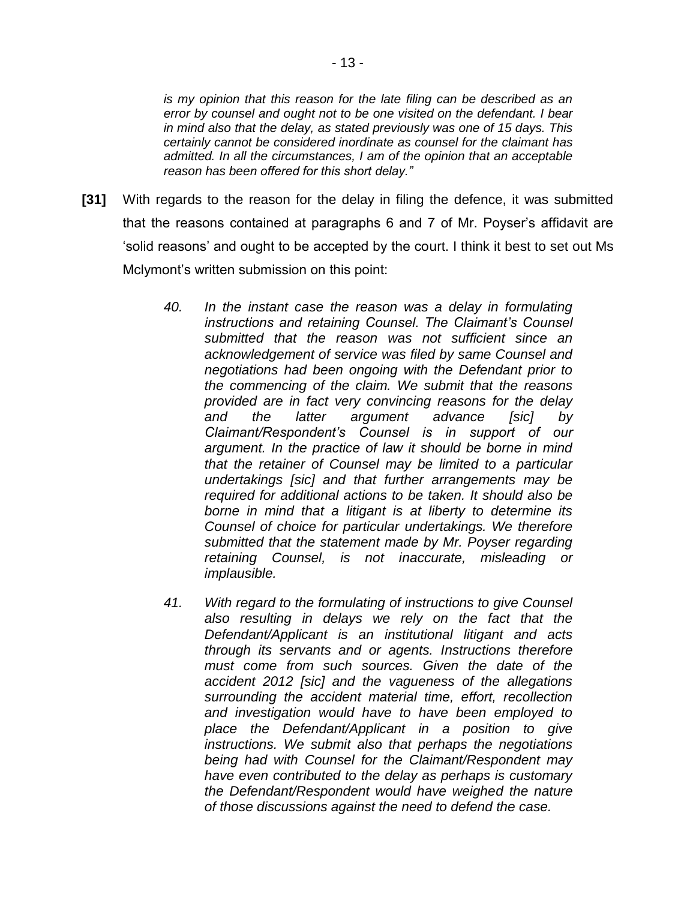*is my opinion that this reason for the late filing can be described as an error by counsel and ought not to be one visited on the defendant. I bear in mind also that the delay, as stated previously was one of 15 days. This certainly cannot be considered inordinate as counsel for the claimant has admitted. In all the circumstances, I am of the opinion that an acceptable reason has been offered for this short delay."*

- **[31]** With regards to the reason for the delay in filing the defence, it was submitted that the reasons contained at paragraphs 6 and 7 of Mr. Poyser's affidavit are 'solid reasons' and ought to be accepted by the court. I think it best to set out Ms Mclymont's written submission on this point:
	- *40. In the instant case the reason was a delay in formulating instructions and retaining Counsel. The Claimant's Counsel submitted that the reason was not sufficient since an acknowledgement of service was filed by same Counsel and negotiations had been ongoing with the Defendant prior to the commencing of the claim. We submit that the reasons provided are in fact very convincing reasons for the delay and the latter argument advance [sic] by Claimant/Respondent's Counsel is in support of our argument. In the practice of law it should be borne in mind that the retainer of Counsel may be limited to a particular undertakings [sic] and that further arrangements may be required for additional actions to be taken. It should also be borne in mind that a litigant is at liberty to determine its Counsel of choice for particular undertakings. We therefore submitted that the statement made by Mr. Poyser regarding retaining Counsel, is not inaccurate, misleading or implausible.*
	- *41. With regard to the formulating of instructions to give Counsel also resulting in delays we rely on the fact that the Defendant/Applicant is an institutional litigant and acts through its servants and or agents. Instructions therefore must come from such sources. Given the date of the accident 2012 [sic] and the vagueness of the allegations surrounding the accident material time, effort, recollection and investigation would have to have been employed to place the Defendant/Applicant in a position to give instructions. We submit also that perhaps the negotiations being had with Counsel for the Claimant/Respondent may have even contributed to the delay as perhaps is customary the Defendant/Respondent would have weighed the nature of those discussions against the need to defend the case.*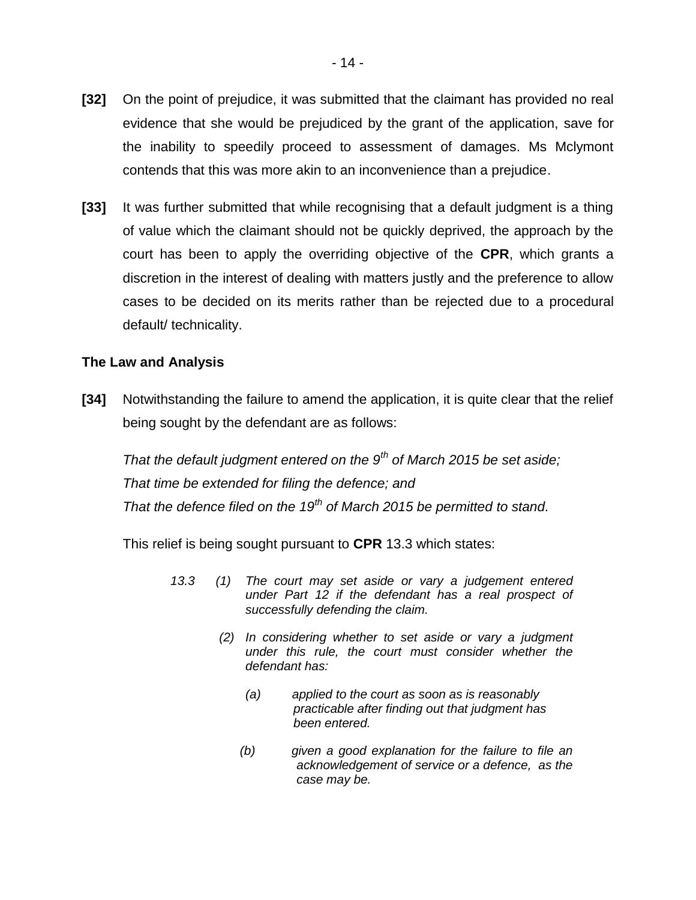- **[32]** On the point of prejudice, it was submitted that the claimant has provided no real evidence that she would be prejudiced by the grant of the application, save for the inability to speedily proceed to assessment of damages. Ms Mclymont contends that this was more akin to an inconvenience than a prejudice.
- **[33]** It was further submitted that while recognising that a default judgment is a thing of value which the claimant should not be quickly deprived, the approach by the court has been to apply the overriding objective of the **CPR**, which grants a discretion in the interest of dealing with matters justly and the preference to allow cases to be decided on its merits rather than be rejected due to a procedural default/ technicality.

## **The Law and Analysis**

**[34]** Notwithstanding the failure to amend the application, it is quite clear that the relief being sought by the defendant are as follows:

*That the default judgment entered on the 9th of March 2015 be set aside; That time be extended for filing the defence; and That the defence filed on the 19th of March 2015 be permitted to stand.* 

This relief is being sought pursuant to **CPR** 13.3 which states:

- *13.3 (1) The court may set aside or vary a judgement entered under Part 12 if the defendant has a real prospect of successfully defending the claim.* 
	- *(2) In considering whether to set aside or vary a judgment under this rule, the court must consider whether the defendant has:* 
		- *(a) applied to the court as soon as is reasonably practicable after finding out that judgment has been entered.*
		- *(b) given a good explanation for the failure to file an acknowledgement of service or a defence, as the case may be.*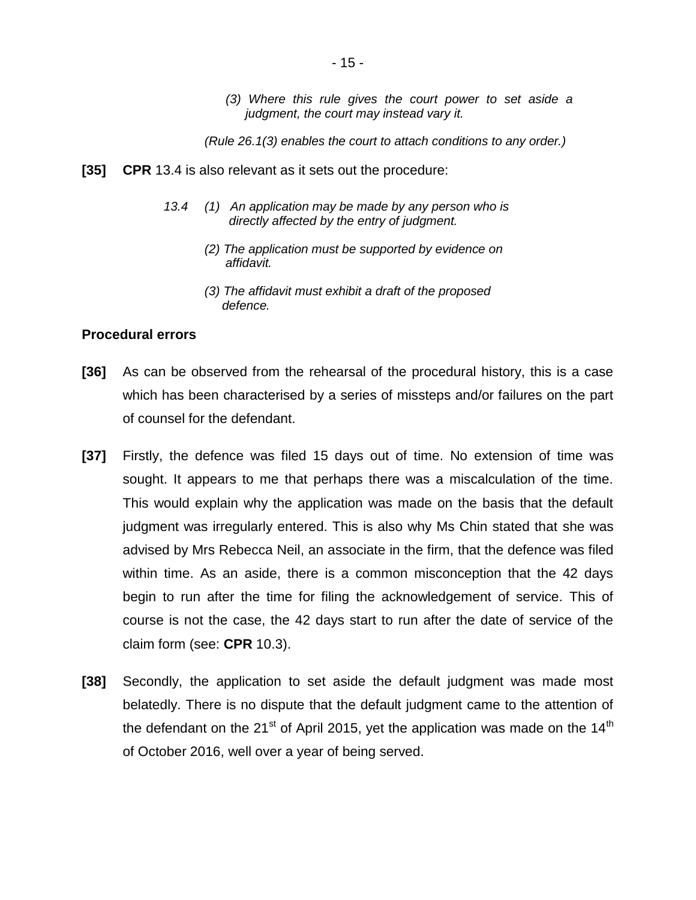*(3) Where this rule gives the court power to set aside a judgment, the court may instead vary it.* 

*(Rule 26.1(3) enables the court to attach conditions to any order.)* 

- **[35] CPR** 13.4 is also relevant as it sets out the procedure:
	- *13.4 (1) An application may be made by any person who is directly affected by the entry of judgment.*
		- *(2) The application must be supported by evidence on affidavit.*
		- *(3) The affidavit must exhibit a draft of the proposed defence.*

## **Procedural errors**

- **[36]** As can be observed from the rehearsal of the procedural history, this is a case which has been characterised by a series of missteps and/or failures on the part of counsel for the defendant.
- **[37]** Firstly, the defence was filed 15 days out of time. No extension of time was sought. It appears to me that perhaps there was a miscalculation of the time. This would explain why the application was made on the basis that the default judgment was irregularly entered. This is also why Ms Chin stated that she was advised by Mrs Rebecca Neil, an associate in the firm, that the defence was filed within time. As an aside, there is a common misconception that the 42 days begin to run after the time for filing the acknowledgement of service. This of course is not the case, the 42 days start to run after the date of service of the claim form (see: **CPR** 10.3).
- **[38]** Secondly, the application to set aside the default judgment was made most belatedly. There is no dispute that the default judgment came to the attention of the defendant on the  $21^{st}$  of April 2015, yet the application was made on the  $14^{th}$ of October 2016, well over a year of being served.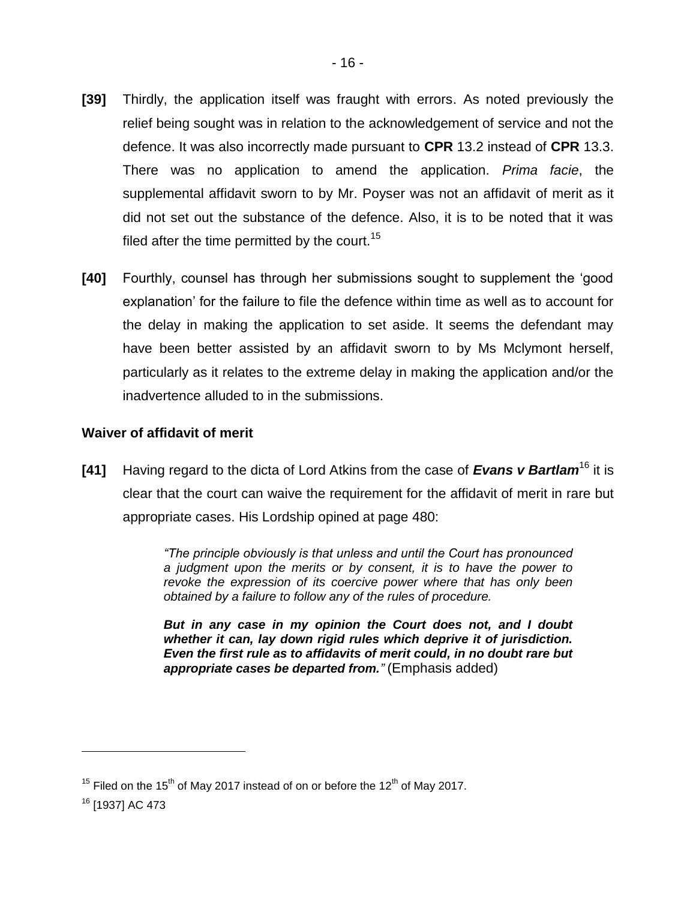- **[39]** Thirdly, the application itself was fraught with errors. As noted previously the relief being sought was in relation to the acknowledgement of service and not the defence. It was also incorrectly made pursuant to **CPR** 13.2 instead of **CPR** 13.3. There was no application to amend the application. *Prima facie*, the supplemental affidavit sworn to by Mr. Poyser was not an affidavit of merit as it did not set out the substance of the defence. Also, it is to be noted that it was filed after the time permitted by the court.<sup>15</sup>
- **[40]** Fourthly, counsel has through her submissions sought to supplement the 'good explanation' for the failure to file the defence within time as well as to account for the delay in making the application to set aside. It seems the defendant may have been better assisted by an affidavit sworn to by Ms Mclymont herself, particularly as it relates to the extreme delay in making the application and/or the inadvertence alluded to in the submissions.

## **Waiver of affidavit of merit**

**[41]** Having regard to the dicta of Lord Atkins from the case of *Evans v Bartlam*<sup>16</sup> it is clear that the court can waive the requirement for the affidavit of merit in rare but appropriate cases. His Lordship opined at page 480:

> *"The principle obviously is that unless and until the Court has pronounced a judgment upon the merits or by consent, it is to have the power to revoke the expression of its coercive power where that has only been obtained by a failure to follow any of the rules of procedure.*

> *But in any case in my opinion the Court does not, and I doubt whether it can, lay down rigid rules which deprive it of jurisdiction. Even the first rule as to affidavits of merit could, in no doubt rare but appropriate cases be departed from."* (Emphasis added)

<sup>&</sup>lt;sup>15</sup> Filed on the 15<sup>th</sup> of May 2017 instead of on or before the 12<sup>th</sup> of May 2017.

<sup>16</sup> [1937] AC 473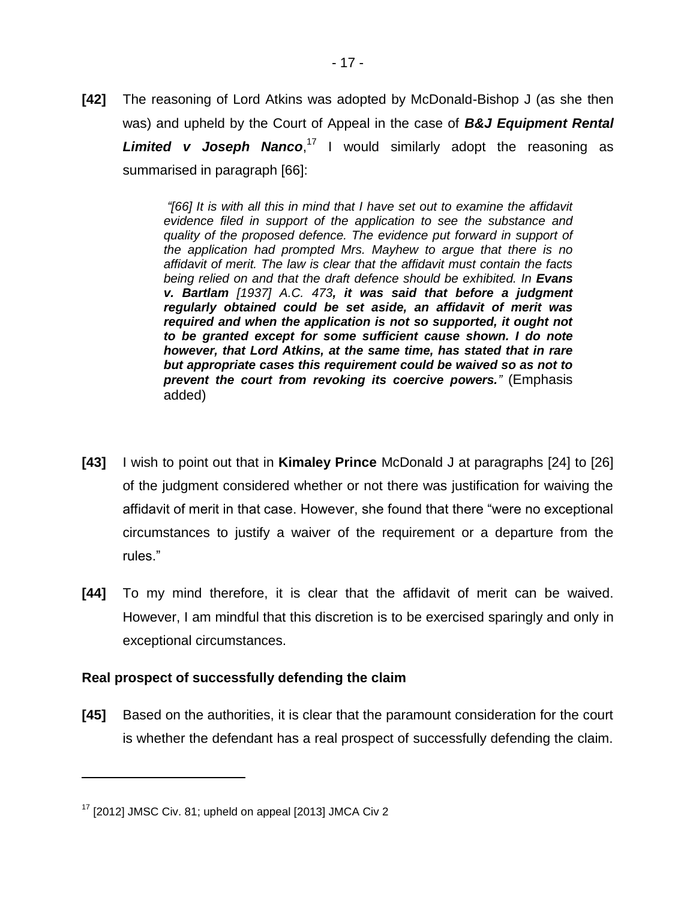**[42]** The reasoning of Lord Atkins was adopted by McDonald-Bishop J (as she then was) and upheld by the Court of Appeal in the case of *B&J Equipment Rental Limited v Joseph Nanco*, <sup>17</sup> I would similarly adopt the reasoning as summarised in paragraph [66]:

> *"[66] It is with all this in mind that I have set out to examine the affidavit evidence filed in support of the application to see the substance and quality of the proposed defence. The evidence put forward in support of the application had prompted Mrs. Mayhew to argue that there is no affidavit of merit. The law is clear that the affidavit must contain the facts being relied on and that the draft defence should be exhibited. In Evans v. Bartlam [1937] A.C. 473, it was said that before a judgment regularly obtained could be set aside, an affidavit of merit was required and when the application is not so supported, it ought not to be granted except for some sufficient cause shown. I do note however, that Lord Atkins, at the same time, has stated that in rare but appropriate cases this requirement could be waived so as not to prevent the court from revoking its coercive powers."* (Emphasis added)

- **[43]** I wish to point out that in **Kimaley Prince** McDonald J at paragraphs [24] to [26] of the judgment considered whether or not there was justification for waiving the affidavit of merit in that case. However, she found that there "were no exceptional circumstances to justify a waiver of the requirement or a departure from the rules."
- **[44]** To my mind therefore, it is clear that the affidavit of merit can be waived. However, I am mindful that this discretion is to be exercised sparingly and only in exceptional circumstances.

## **Real prospect of successfully defending the claim**

**[45]** Based on the authorities, it is clear that the paramount consideration for the court is whether the defendant has a real prospect of successfully defending the claim.

 $17$  [2012] JMSC Civ. 81; upheld on appeal [2013] JMCA Civ 2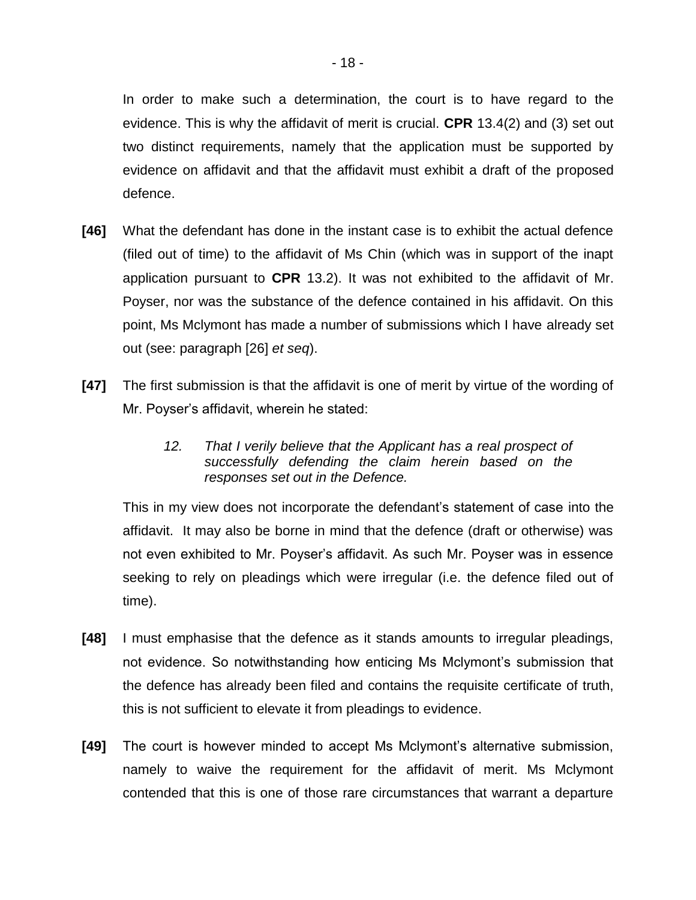In order to make such a determination, the court is to have regard to the evidence. This is why the affidavit of merit is crucial. **CPR** 13.4(2) and (3) set out two distinct requirements, namely that the application must be supported by evidence on affidavit and that the affidavit must exhibit a draft of the proposed defence.

- **[46]** What the defendant has done in the instant case is to exhibit the actual defence (filed out of time) to the affidavit of Ms Chin (which was in support of the inapt application pursuant to **CPR** 13.2). It was not exhibited to the affidavit of Mr. Poyser, nor was the substance of the defence contained in his affidavit. On this point, Ms Mclymont has made a number of submissions which I have already set out (see: paragraph [26] *et seq*).
- **[47]** The first submission is that the affidavit is one of merit by virtue of the wording of Mr. Poyser's affidavit, wherein he stated:
	- *12. That I verily believe that the Applicant has a real prospect of successfully defending the claim herein based on the responses set out in the Defence.*

This in my view does not incorporate the defendant's statement of case into the affidavit. It may also be borne in mind that the defence (draft or otherwise) was not even exhibited to Mr. Poyser's affidavit. As such Mr. Poyser was in essence seeking to rely on pleadings which were irregular (i.e. the defence filed out of time).

- **[48]** I must emphasise that the defence as it stands amounts to irregular pleadings, not evidence. So notwithstanding how enticing Ms Mclymont's submission that the defence has already been filed and contains the requisite certificate of truth, this is not sufficient to elevate it from pleadings to evidence.
- **[49]** The court is however minded to accept Ms Mclymont's alternative submission, namely to waive the requirement for the affidavit of merit. Ms Mclymont contended that this is one of those rare circumstances that warrant a departure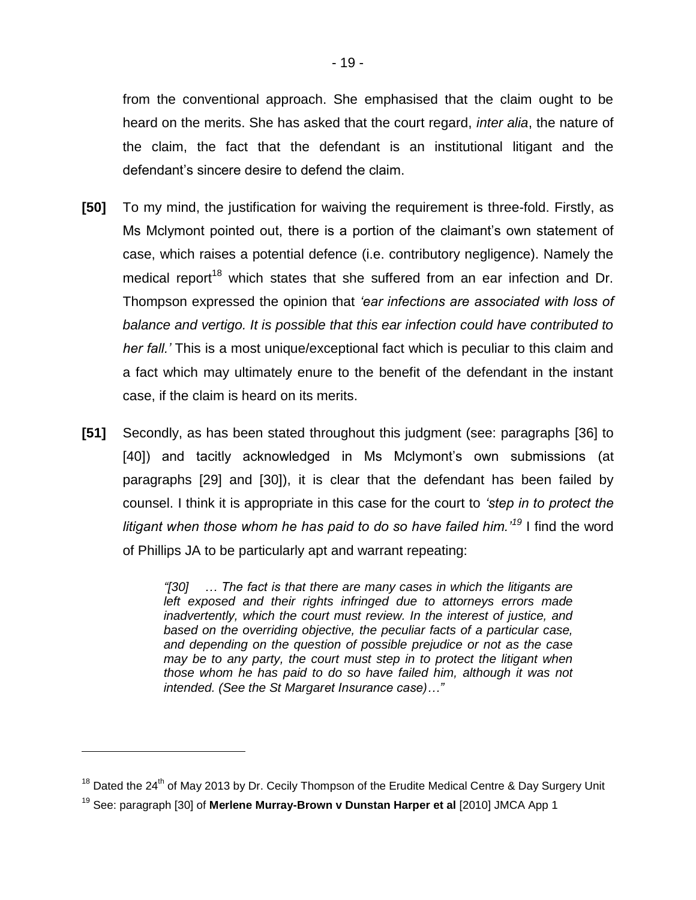from the conventional approach. She emphasised that the claim ought to be heard on the merits. She has asked that the court regard, *inter alia*, the nature of the claim, the fact that the defendant is an institutional litigant and the defendant's sincere desire to defend the claim.

- **[50]** To my mind, the justification for waiving the requirement is three-fold. Firstly, as Ms Mclymont pointed out, there is a portion of the claimant's own statement of case, which raises a potential defence (i.e. contributory negligence). Namely the medical report<sup>18</sup> which states that she suffered from an ear infection and Dr. Thompson expressed the opinion that *'ear infections are associated with loss of balance and vertigo. It is possible that this ear infection could have contributed to her fall.'* This is a most unique/exceptional fact which is peculiar to this claim and a fact which may ultimately enure to the benefit of the defendant in the instant case, if the claim is heard on its merits.
- **[51]** Secondly, as has been stated throughout this judgment (see: paragraphs [36] to [40]) and tacitly acknowledged in Ms Mclymont's own submissions (at paragraphs [29] and [30]), it is clear that the defendant has been failed by counsel. I think it is appropriate in this case for the court to *'step in to protect the litigant when those whom he has paid to do so have failed him.'<sup>19</sup>* I find the word of Phillips JA to be particularly apt and warrant repeating:

*"[30] … The fact is that there are many cases in which the litigants are left exposed and their rights infringed due to attorneys errors made inadvertently, which the court must review. In the interest of justice, and based on the overriding objective, the peculiar facts of a particular case, and depending on the question of possible prejudice or not as the case may be to any party, the court must step in to protect the litigant when those whom he has paid to do so have failed him, although it was not intended. (See the St Margaret Insurance case)…"*

 $18$  Dated the 24<sup>th</sup> of May 2013 by Dr. Cecily Thompson of the Erudite Medical Centre & Day Surgery Unit

<sup>19</sup> See: paragraph [30] of **Merlene Murray-Brown v Dunstan Harper et al** [2010] JMCA App 1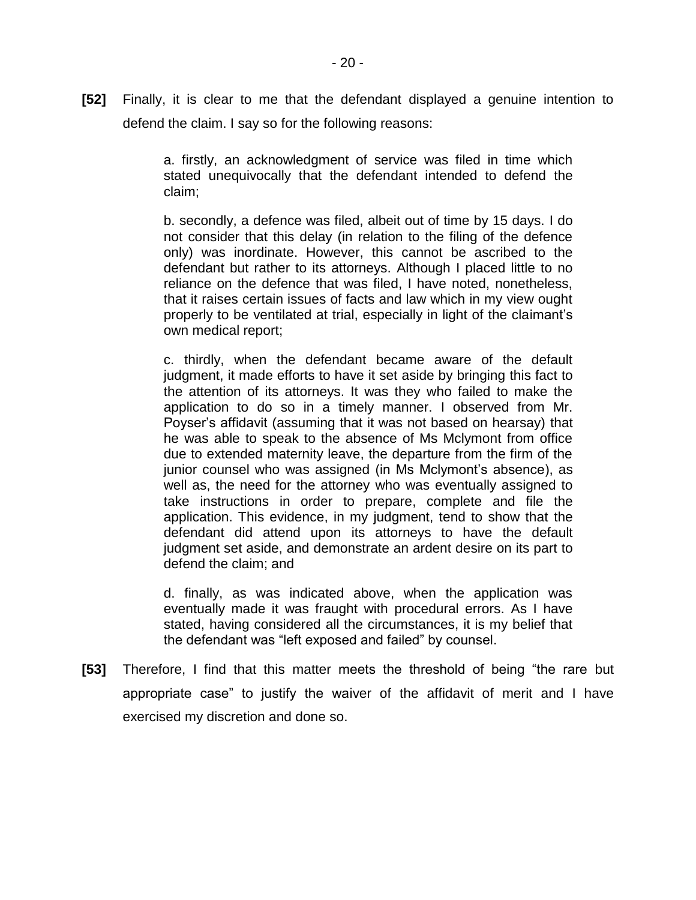**[52]** Finally, it is clear to me that the defendant displayed a genuine intention to defend the claim. I say so for the following reasons:

> a. firstly, an acknowledgment of service was filed in time which stated unequivocally that the defendant intended to defend the claim;

> b. secondly, a defence was filed, albeit out of time by 15 days. I do not consider that this delay (in relation to the filing of the defence only) was inordinate. However, this cannot be ascribed to the defendant but rather to its attorneys. Although I placed little to no reliance on the defence that was filed, I have noted, nonetheless, that it raises certain issues of facts and law which in my view ought properly to be ventilated at trial, especially in light of the claimant's own medical report;

> c. thirdly, when the defendant became aware of the default judgment, it made efforts to have it set aside by bringing this fact to the attention of its attorneys. It was they who failed to make the application to do so in a timely manner. I observed from Mr. Poyser's affidavit (assuming that it was not based on hearsay) that he was able to speak to the absence of Ms Mclymont from office due to extended maternity leave, the departure from the firm of the junior counsel who was assigned (in Ms Mclymont's absence), as well as, the need for the attorney who was eventually assigned to take instructions in order to prepare, complete and file the application. This evidence, in my judgment, tend to show that the defendant did attend upon its attorneys to have the default judgment set aside, and demonstrate an ardent desire on its part to defend the claim; and

> d. finally, as was indicated above, when the application was eventually made it was fraught with procedural errors. As I have stated, having considered all the circumstances, it is my belief that the defendant was "left exposed and failed" by counsel.

**[53]** Therefore, I find that this matter meets the threshold of being "the rare but appropriate case" to justify the waiver of the affidavit of merit and I have exercised my discretion and done so.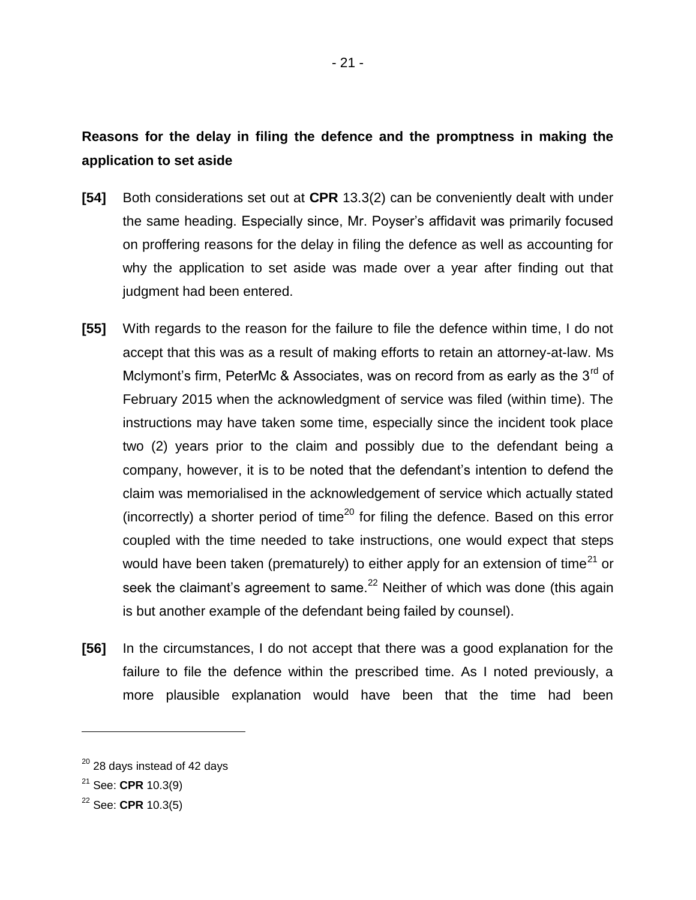# **Reasons for the delay in filing the defence and the promptness in making the application to set aside**

- **[54]** Both considerations set out at **CPR** 13.3(2) can be conveniently dealt with under the same heading. Especially since, Mr. Poyser's affidavit was primarily focused on proffering reasons for the delay in filing the defence as well as accounting for why the application to set aside was made over a year after finding out that judgment had been entered.
- **[55]** With regards to the reason for the failure to file the defence within time, I do not accept that this was as a result of making efforts to retain an attorney-at-law. Ms Mclymont's firm, PeterMc & Associates, was on record from as early as the  $3<sup>rd</sup>$  of February 2015 when the acknowledgment of service was filed (within time). The instructions may have taken some time, especially since the incident took place two (2) years prior to the claim and possibly due to the defendant being a company, however, it is to be noted that the defendant's intention to defend the claim was memorialised in the acknowledgement of service which actually stated (incorrectly) a shorter period of time<sup>20</sup> for filing the defence. Based on this error coupled with the time needed to take instructions, one would expect that steps would have been taken (prematurely) to either apply for an extension of time<sup>21</sup> or seek the claimant's agreement to same.<sup>22</sup> Neither of which was done (this again is but another example of the defendant being failed by counsel).
- **[56]** In the circumstances, I do not accept that there was a good explanation for the failure to file the defence within the prescribed time. As I noted previously, a more plausible explanation would have been that the time had been

 $20$  28 days instead of 42 days

<sup>21</sup> See: **CPR** 10.3(9)

<sup>22</sup> See: **CPR** 10.3(5)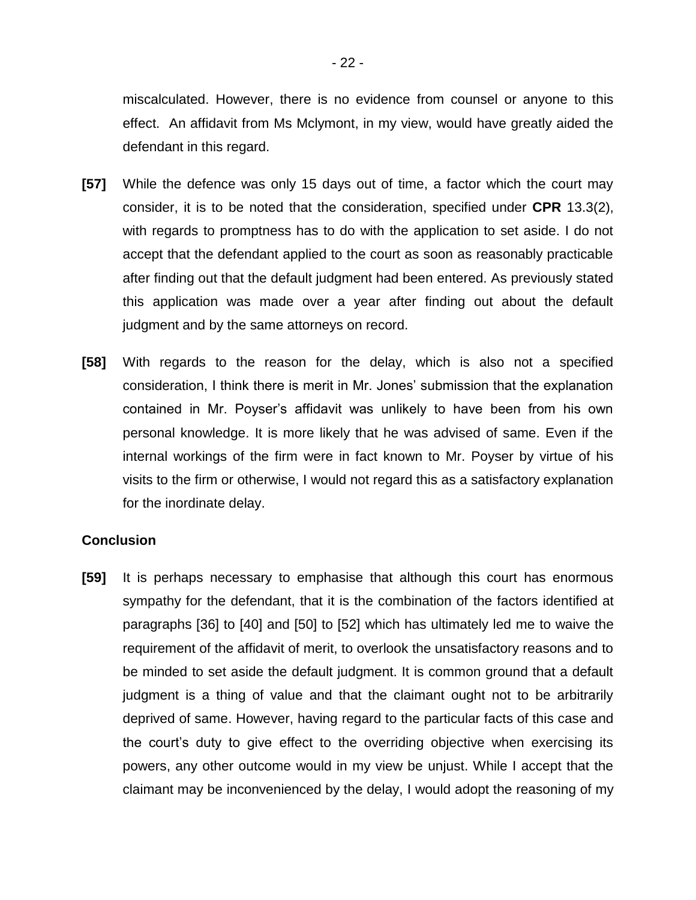miscalculated. However, there is no evidence from counsel or anyone to this effect. An affidavit from Ms Mclymont, in my view, would have greatly aided the defendant in this regard.

- **[57]** While the defence was only 15 days out of time, a factor which the court may consider, it is to be noted that the consideration, specified under **CPR** 13.3(2), with regards to promptness has to do with the application to set aside. I do not accept that the defendant applied to the court as soon as reasonably practicable after finding out that the default judgment had been entered. As previously stated this application was made over a year after finding out about the default judgment and by the same attorneys on record.
- **[58]** With regards to the reason for the delay, which is also not a specified consideration, I think there is merit in Mr. Jones' submission that the explanation contained in Mr. Poyser's affidavit was unlikely to have been from his own personal knowledge. It is more likely that he was advised of same. Even if the internal workings of the firm were in fact known to Mr. Poyser by virtue of his visits to the firm or otherwise, I would not regard this as a satisfactory explanation for the inordinate delay.

#### **Conclusion**

**[59]** It is perhaps necessary to emphasise that although this court has enormous sympathy for the defendant, that it is the combination of the factors identified at paragraphs [36] to [40] and [50] to [52] which has ultimately led me to waive the requirement of the affidavit of merit, to overlook the unsatisfactory reasons and to be minded to set aside the default judgment. It is common ground that a default judgment is a thing of value and that the claimant ought not to be arbitrarily deprived of same. However, having regard to the particular facts of this case and the court's duty to give effect to the overriding objective when exercising its powers, any other outcome would in my view be unjust. While I accept that the claimant may be inconvenienced by the delay, I would adopt the reasoning of my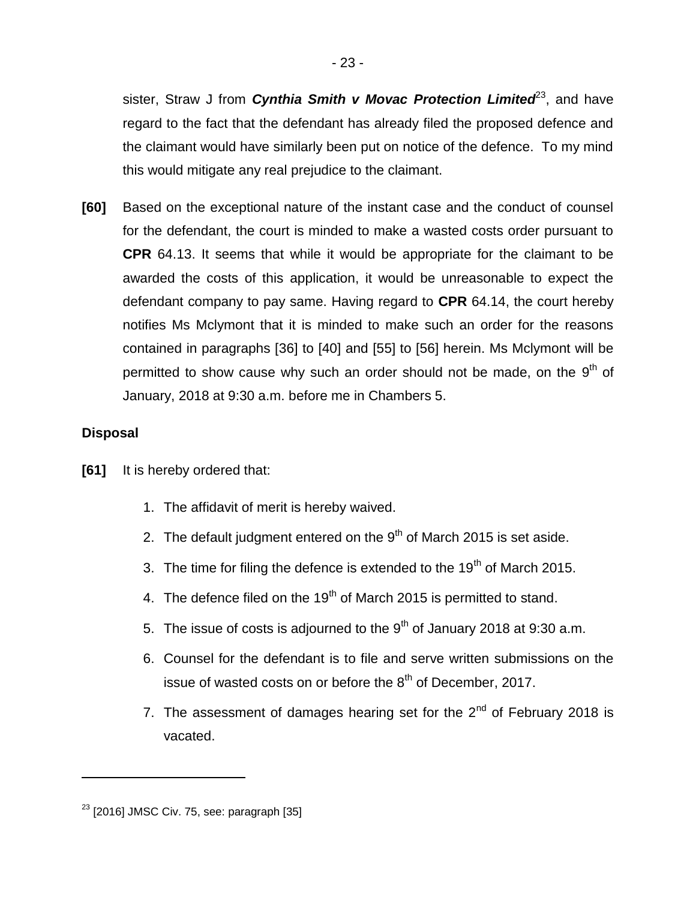sister, Straw J from *Cynthia Smith v Movac Protection Limited*<sup>23</sup>, and have regard to the fact that the defendant has already filed the proposed defence and the claimant would have similarly been put on notice of the defence. To my mind this would mitigate any real prejudice to the claimant.

**[60]** Based on the exceptional nature of the instant case and the conduct of counsel for the defendant, the court is minded to make a wasted costs order pursuant to **CPR** 64.13. It seems that while it would be appropriate for the claimant to be awarded the costs of this application, it would be unreasonable to expect the defendant company to pay same. Having regard to **CPR** 64.14, the court hereby notifies Ms Mclymont that it is minded to make such an order for the reasons contained in paragraphs [36] to [40] and [55] to [56] herein. Ms Mclymont will be permitted to show cause why such an order should not be made, on the 9<sup>th</sup> of January, 2018 at 9:30 a.m. before me in Chambers 5.

## **Disposal**

- **[61]** It is hereby ordered that:
	- 1. The affidavit of merit is hereby waived.
	- 2. The default judgment entered on the  $9<sup>th</sup>$  of March 2015 is set aside.
	- 3. The time for filing the defence is extended to the  $19<sup>th</sup>$  of March 2015.
	- 4. The defence filed on the 19<sup>th</sup> of March 2015 is permitted to stand.
	- 5. The issue of costs is adjourned to the  $9<sup>th</sup>$  of January 2018 at 9:30 a.m.
	- 6. Counsel for the defendant is to file and serve written submissions on the issue of wasted costs on or before the  $8<sup>th</sup>$  of December, 2017.
	- 7. The assessment of damages hearing set for the  $2<sup>nd</sup>$  of February 2018 is vacated.

 $23$  [2016] JMSC Civ. 75, see: paragraph [35]